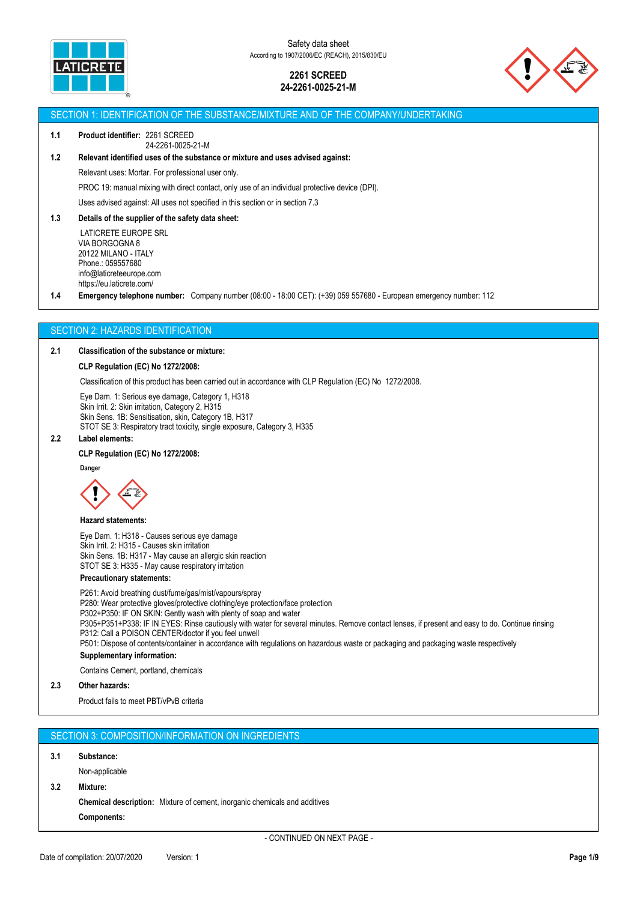



### SECTION 1: IDENTIFICATION OF THE SUBSTANCE/MIXTURE AND OF THE COMPANY/UNDERTAKING

#### **1.1 Product identifier:** 2261 SCREED 24-2261-0025-21-M

# **1.2 Relevant identified uses of the substance or mixture and uses advised against:**

Relevant uses: Mortar. For professional user only.

PROC 19: manual mixing with direct contact, only use of an individual protective device (DPI).

Uses advised against: All uses not specified in this section or in section 7.3

### **1.3 Details of the supplier of the safety data sheet:**

 LATICRETE EUROPE SRL VIA BORGOGNA 8 20122 MILANO - ITALY Phone.: 059557680 info@laticreteeurope.com https://eu.laticrete.com/

**1.4 Emergency telephone number:** Company number (08:00 - 18:00 CET): (+39) 059 557680 - European emergency number: 112

## SECTION 2: HAZARDS IDENTIFICATION

## **2.1 Classification of the substance or mixture:**

### **CLP Regulation (EC) No 1272/2008:**

Classification of this product has been carried out in accordance with CLP Regulation (EC) No 1272/2008.

Eye Dam. 1: Serious eye damage, Category 1, H318 Skin Irrit. 2: Skin irritation, Category 2, H315 Skin Sens. 1B: Sensitisation, skin, Category 1B, H317 STOT SE 3: Respiratory tract toxicity, single exposure, Category 3, H335

## **2.2 Label elements:**

## **CLP Regulation (EC) No 1272/2008:**

**Danger**



#### **Hazard statements:**

Eye Dam. 1: H318 - Causes serious eye damage Skin Irrit. 2: H315 - Causes skin irritation Skin Sens. 1B: H317 - May cause an allergic skin reaction STOT SE 3: H335 - May cause respiratory irritation

## **Precautionary statements:**

P261: Avoid breathing dust/fume/gas/mist/vapours/spray P280: Wear protective gloves/protective clothing/eye protection/face protection P302+P350: IF ON SKIN: Gently wash with plenty of soap and water P305+P351+P338: IF IN EYES: Rinse cautiously with water for several minutes. Remove contact lenses, if present and easy to do. Continue rinsing P312: Call a POISON CENTER/doctor if you feel unwell P501: Dispose of contents/container in accordance with regulations on hazardous waste or packaging and packaging waste respectively **Supplementary information:** Contains Cement, portland, chemicals **2.3 Other hazards:** Product fails to meet PBT/vPvB criteria

|     | SECTION 3: COMPOSITION/INFORMATION ON INGREDIENTS |
|-----|---------------------------------------------------|
| 3.1 | Substance:                                        |
|     | Non-applicable                                    |

#### **3.2 Mixture:**

**Chemical description:** Mixture of cement, inorganic chemicals and additives **Components:**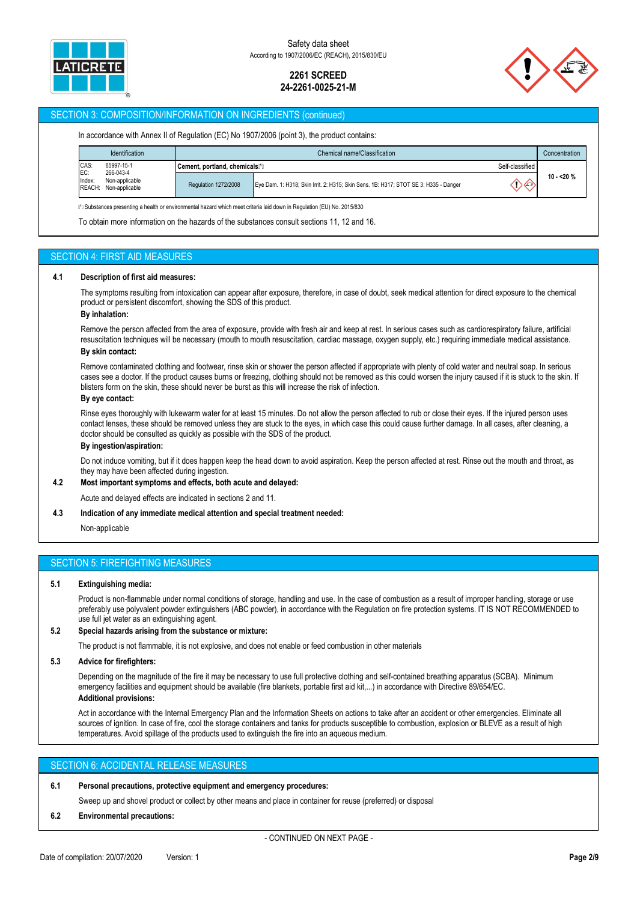



## SECTION 3: COMPOSITION/INFORMATION ON INGREDIENTS (continued)

|                                                                | Identification<br>Chemical name/Classification |                                           | Concentration                                                                        |                 |            |
|----------------------------------------------------------------|------------------------------------------------|-------------------------------------------|--------------------------------------------------------------------------------------|-----------------|------------|
| CAS:<br>EC:<br>65997-15-1                                      |                                                | Cement, portland, chemicals <sup>11</sup> |                                                                                      | Self-classified |            |
| 266-043-4<br>Index:<br>Non-applicable<br>REACH: Non-applicable |                                                | Regulation 1272/2008                      | Eye Dam. 1: H318; Skin Irrit. 2: H315; Skin Sens. 1B: H317; STOT SE 3: H335 - Danger | (1><-)          | $10 - 20%$ |

To obtain more information on the hazards of the substances consult sections 11, 12 and 16.

## SECTION 4: FIRST AID MEASURES

### **4.1 Description of first aid measures:**

The symptoms resulting from intoxication can appear after exposure, therefore, in case of doubt, seek medical attention for direct exposure to the chemical product or persistent discomfort, showing the SDS of this product.

### **By inhalation:**

Remove the person affected from the area of exposure, provide with fresh air and keep at rest. In serious cases such as cardiorespiratory failure, artificial resuscitation techniques will be necessary (mouth to mouth resuscitation, cardiac massage, oxygen supply, etc.) requiring immediate medical assistance.

## **By skin contact:**

Remove contaminated clothing and footwear, rinse skin or shower the person affected if appropriate with plenty of cold water and neutral soap. In serious cases see a doctor. If the product causes burns or freezing, clothing should not be removed as this could worsen the injury caused if it is stuck to the skin. If blisters form on the skin, these should never be burst as this will increase the risk of infection.

### **By eye contact:**

Rinse eyes thoroughly with lukewarm water for at least 15 minutes. Do not allow the person affected to rub or close their eyes. If the injured person uses contact lenses, these should be removed unless they are stuck to the eyes, in which case this could cause further damage. In all cases, after cleaning, a doctor should be consulted as quickly as possible with the SDS of the product.

### **By ingestion/aspiration:**

Do not induce vomiting, but if it does happen keep the head down to avoid aspiration. Keep the person affected at rest. Rinse out the mouth and throat, as they may have been affected during ingestion.

#### **4.2 Most important symptoms and effects, both acute and delayed:**

Acute and delayed effects are indicated in sections 2 and 11.

#### **4.3 Indication of any immediate medical attention and special treatment needed:**

Non-applicable

## SECTION 5: FIREFIGHTING MEASURES

### **5.1 Extinguishing media:**

Product is non-flammable under normal conditions of storage, handling and use. In the case of combustion as a result of improper handling, storage or use preferably use polyvalent powder extinguishers (ABC powder), in accordance with the Regulation on fire protection systems. IT IS NOT RECOMMENDED to use full jet water as an extinguishing agent.

## **5.2 Special hazards arising from the substance or mixture:**

The product is not flammable, it is not explosive, and does not enable or feed combustion in other materials

### **5.3 Advice for firefighters:**

Depending on the magnitude of the fire it may be necessary to use full protective clothing and self-contained breathing apparatus (SCBA). Minimum emergency facilities and equipment should be available (fire blankets, portable first aid kit,...) in accordance with Directive 89/654/EC. **Additional provisions:**

Act in accordance with the Internal Emergency Plan and the Information Sheets on actions to take after an accident or other emergencies. Eliminate all sources of ignition. In case of fire, cool the storage containers and tanks for products susceptible to combustion, explosion or BLEVE as a result of high temperatures. Avoid spillage of the products used to extinguish the fire into an aqueous medium.

## SECTION 6: ACCIDENTAL RELEASE MEASURES

#### **6.1 Personal precautions, protective equipment and emergency procedures:**

Sweep up and shovel product or collect by other means and place in container for reuse (preferred) or disposal

#### **6.2 Environmental precautions:**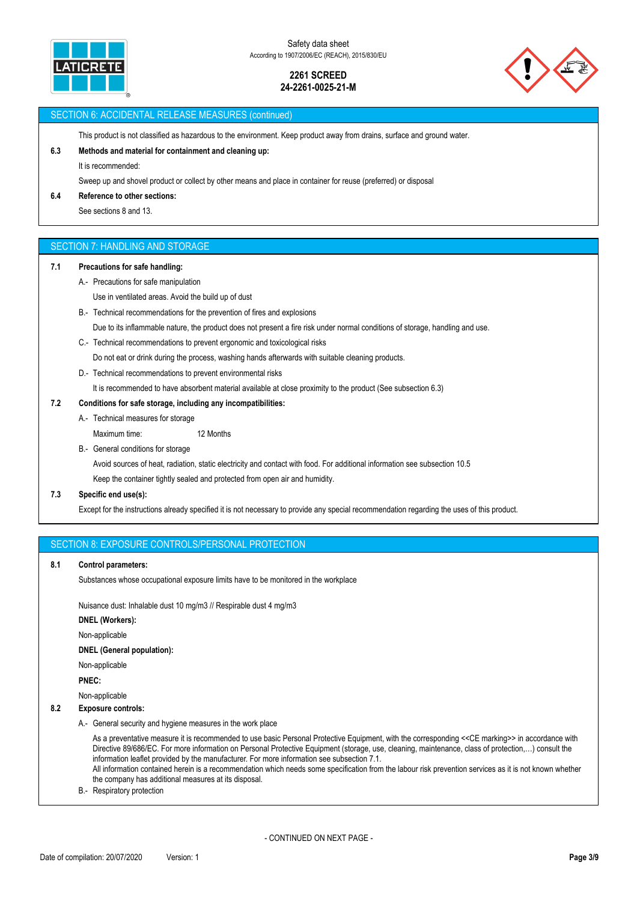

Safety data sheet According to 1907/2006/EC (REACH), 2015/830/EU

## **2261 SCREED 24-2261-0025-21-M**



## SECTION 6: ACCIDENTAL RELEASE MEASURES (continued)

This product is not classified as hazardous to the environment. Keep product away from drains, surface and ground water.

## **6.3 Methods and material for containment and cleaning up:**

It is recommended:

Sweep up and shovel product or collect by other means and place in container for reuse (preferred) or disposal

### **6.4 Reference to other sections:**

See sections 8 and 13.

## SECTION 7: HANDLING AND STORAGE

## **7.1 Precautions for safe handling:**

- A.- Precautions for safe manipulation
	- Use in ventilated areas. Avoid the build up of dust
- B.- Technical recommendations for the prevention of fires and explosions

Due to its inflammable nature, the product does not present a fire risk under normal conditions of storage, handling and use.

C.- Technical recommendations to prevent ergonomic and toxicological risks

Do not eat or drink during the process, washing hands afterwards with suitable cleaning products.

D.- Technical recommendations to prevent environmental risks

It is recommended to have absorbent material available at close proximity to the product (See subsection 6.3)

## **7.2 Conditions for safe storage, including any incompatibilities:**

- A.- Technical measures for storage Maximum time: 12 Months
- B.- General conditions for storage

Avoid sources of heat, radiation, static electricity and contact with food. For additional information see subsection 10.5

Keep the container tightly sealed and protected from open air and humidity.

## **7.3 Specific end use(s):**

Except for the instructions already specified it is not necessary to provide any special recommendation regarding the uses of this product.

SECTION 8: EXPOSURE CONTROLS/PERSONAL PROTECTION

### **8.1 Control parameters:**

Substances whose occupational exposure limits have to be monitored in the workplace

Nuisance dust: Inhalable dust 10 mg/m3 // Respirable dust 4 mg/m3

**DNEL (Workers):**

Non-applicable

## **DNEL (General population):**

Non-applicable

**PNEC:**

Non-applicable

## **8.2 Exposure controls:**

A.- General security and hygiene measures in the work place

As a preventative measure it is recommended to use basic Personal Protective Equipment, with the corresponding <<CE marking>> in accordance with Directive 89/686/EC. For more information on Personal Protective Equipment (storage, use, cleaning, maintenance, class of protection,…) consult the information leaflet provided by the manufacturer. For more information see subsection 7.1. All information contained herein is a recommendation which needs some specification from the labour risk prevention services as it is not known whether the company has additional measures at its disposal.

B.- Respiratory protection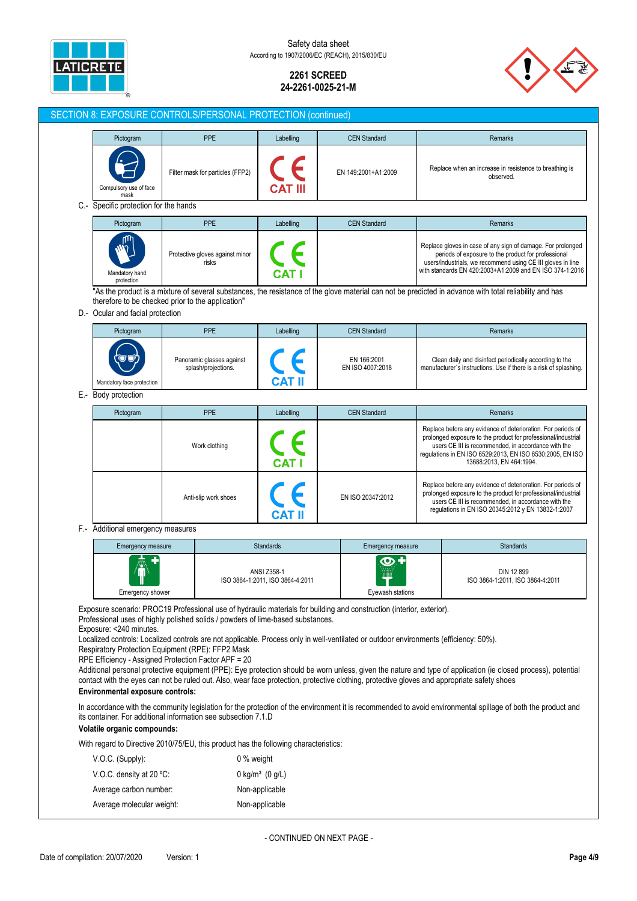

Safety data sheet According to 1907/2006/EC (REACH), 2015/830/EU

## **2261 SCREED 24-2261-0025-21-M**



prolonged exposure to the product for professional/industrial users CE III is recommended, in accordance with the regulations in EN ISO 20345:2012 y EN 13832-1:2007

#### SECTION 8: EXPOSURE CONTROLS/PERSONAL PROTECTION (continued) Pictogram | PPE | Labelling | CEN Standard | Current Contains Remarks Filter mask for particles (FFP2) EN 149:2001+A1:2009 Replace when an increase in resistence to breathing is observed. ulsory use of face **CAT III** mask C.- Specific protection for the hands Pictogram **PRE Remarks** PPE Labelling **CEN Standard Professional Remarks** Replace gloves in case of any sign of damage. For prolonged Protective gloves against minor periods of exposure to the product for professional users/industrials, we recommend using CE III gloves in line risks with standards EN 420:2003+A1:2009 and EN ISO 374-1:2016 Mandatory hand **CAT** prote "As the product is a mixture of several substances, the resistance of the glove material can not be predicted in advance with total reliability and has therefore to be checked prior to the application" D.- Ocular and facial protection Pictogram **PRE** Remarks **PRE** Labelling CEN Standard **PRE** Remarks Panoramic glasses against EN 166:2001 Clean daily and disinfect periodically according to the EN ISO 4007:2018 splash/projections. manufacturer´s instructions. Use if there is a risk of splashing. **CAT II** datory face protection E.- Body protection Pictogram | PPE | Labelling | CEN Standard | Current Contains Remarks Replace before any evidence of deterioration. For periods of prolonged exposure to the product for professional/industrial Work clothing users CE III is recommended, in accordance with the regulations in EN ISO 6529:2013, EN ISO 6530:2005, EN ISO 13688:2013, EN 464:1994. **CAT I** Replace before any evidence of deterioration. For periods of

### F.- Additional emergency measures

| ъ.<br>Â<br>Emergency shower | <b>ANSI Z358-1</b><br>ISO 3864-1:2011, ISO 3864-4:2011 | .<br><b>WHAT</b><br>Eyewash stations | DIN 12 899<br>ISO 3864-1:2011, ISO 3864-4:2011 |
|-----------------------------|--------------------------------------------------------|--------------------------------------|------------------------------------------------|

Exposure scenario: PROC19 Professional use of hydraulic materials for building and construction (interior, exterior).

Professional uses of highly polished solids / powders of lime-based substances.

Exposure: <240 minutes.

Localized controls: Localized controls are not applicable. Process only in well-ventilated or outdoor environments (efficiency: 50%).

Anti-slip work shoes **EN ISO 20347:2012** 

**CAT II** 

Respiratory Protection Equipment (RPE): FFP2 Mask

RPE Efficiency - Assigned Protection Factor APF = 20

Additional personal protective equipment (PPE): Eye protection should be worn unless, given the nature and type of application (ie closed process), potential contact with the eyes can not be ruled out. Also, wear face protection, protective clothing, protective gloves and appropriate safety shoes

## **Environmental exposure controls:**

In accordance with the community legislation for the protection of the environment it is recommended to avoid environmental spillage of both the product and its container. For additional information see subsection 7.1.D

### **Volatile organic compounds:**

With regard to Directive 2010/75/EU, this product has the following characteristics:

| $V.O.C.$ (Supply):        | 0 % weight                    |
|---------------------------|-------------------------------|
| V.O.C. density at 20 °C:  | 0 kg/m <sup>3</sup> $(0 g/L)$ |
| Average carbon number:    | Non-applicable                |
| Average molecular weight: | Non-applicable                |

- CONTINUED ON NEXT PAGE -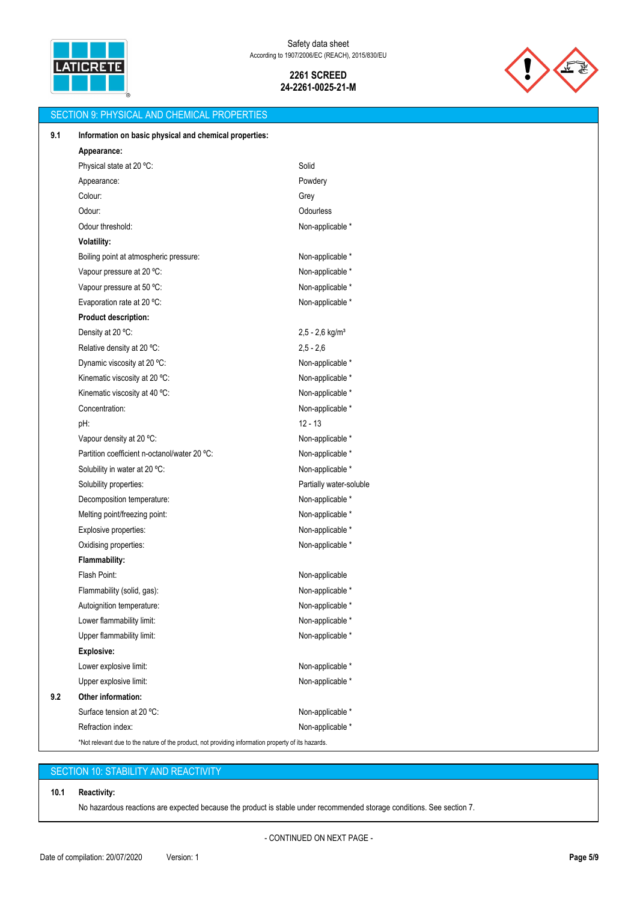



|     | <b>SECTION 9: PHYSICAL AND CHEMICAL PROPERTIES</b>                                                 |                               |
|-----|----------------------------------------------------------------------------------------------------|-------------------------------|
| 9.1 | Information on basic physical and chemical properties:                                             |                               |
|     | Appearance:                                                                                        |                               |
|     | Physical state at 20 °C:                                                                           | Solid                         |
|     | Appearance:                                                                                        | Powdery                       |
|     | Colour:                                                                                            | Grey                          |
|     | Odour:                                                                                             | Odourless                     |
|     | Odour threshold:                                                                                   | Non-applicable *              |
|     | Volatility:                                                                                        |                               |
|     | Boiling point at atmospheric pressure:                                                             | Non-applicable *              |
|     | Vapour pressure at 20 °C:                                                                          | Non-applicable *              |
|     | Vapour pressure at 50 °C:                                                                          | Non-applicable *              |
|     | Evaporation rate at 20 °C:                                                                         | Non-applicable *              |
|     | <b>Product description:</b>                                                                        |                               |
|     | Density at 20 °C:                                                                                  | $2,5 - 2,6$ kg/m <sup>3</sup> |
|     | Relative density at 20 °C:                                                                         | $2,5 - 2,6$                   |
|     | Dynamic viscosity at 20 °C:                                                                        | Non-applicable *              |
|     | Kinematic viscosity at 20 °C:                                                                      | Non-applicable *              |
|     | Kinematic viscosity at 40 °C:                                                                      | Non-applicable *              |
|     | Concentration:                                                                                     | Non-applicable *              |
|     | pH:                                                                                                | $12 - 13$                     |
|     | Vapour density at 20 °C:                                                                           | Non-applicable *              |
|     | Partition coefficient n-octanol/water 20 °C:                                                       | Non-applicable *              |
|     | Solubility in water at 20 °C:                                                                      | Non-applicable *              |
|     | Solubility properties:                                                                             | Partially water-soluble       |
|     | Decomposition temperature:                                                                         | Non-applicable *              |
|     | Melting point/freezing point:                                                                      | Non-applicable *              |
|     | Explosive properties:                                                                              | Non-applicable *              |
|     | Oxidising properties:                                                                              | Non-applicable *              |
|     | Flammability:                                                                                      |                               |
|     | Flash Point:                                                                                       | Non-applicable                |
|     | Flammability (solid, gas):                                                                         | Non-applicable *              |
|     | Autoignition temperature:                                                                          | Non-applicable *              |
|     | Lower flammability limit:                                                                          | Non-applicable *              |
|     | Upper flammability limit:                                                                          | Non-applicable *              |
|     | <b>Explosive:</b>                                                                                  |                               |
|     | Lower explosive limit:                                                                             | Non-applicable *              |
|     | Upper explosive limit:                                                                             | Non-applicable *              |
| 9.2 | Other information:                                                                                 |                               |
|     | Surface tension at 20 °C:                                                                          | Non-applicable *              |
|     | Refraction index:                                                                                  | Non-applicable *              |
|     | *Not relevant due to the nature of the product, not providing information property of its hazards. |                               |

# SECTION 10: STABILITY AND REACTIVITY

## **10.1 Reactivity:**

No hazardous reactions are expected because the product is stable under recommended storage conditions. See section 7.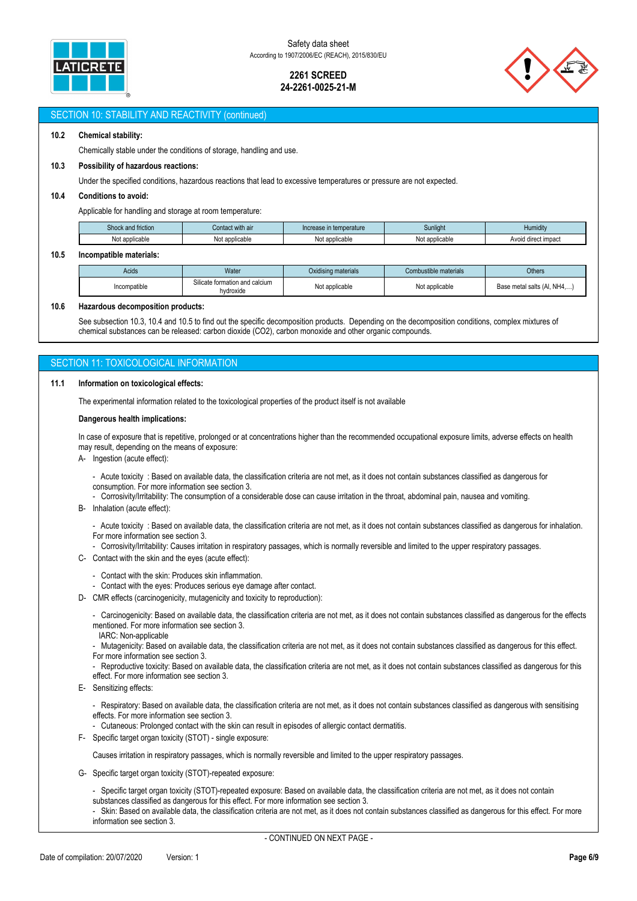



## SECTION 10: STABILITY AND REACTIVITY (continued)

## **10.2 Chemical stability:**

Chemically stable under the conditions of storage, handling and use.

#### **10.3 Possibility of hazardous reactions:**

Under the specified conditions, hazardous reactions that lead to excessive temperatures or pressure are not expected.

### **10.4 Conditions to avoid:**

Applicable for handling and storage at room temperature:

| Shock<br>and friction:         | Contact with air    | ⊧temperature<br>Increase in | Sunlight          | 1000<br>Humidity                         |
|--------------------------------|---------------------|-----------------------------|-------------------|------------------------------------------|
| annliaghla<br>i vul duulluduit | t applicable<br>Not | applicable<br><b>NULL</b>   | `applicable<br>งผ | iroot impool<br>Avoid<br>rec<br>. ιπρασι |

#### **10.5 Incompatible materials:**

| Acids        | Water                                       | Oxidising materials | Combustible materials | <b>Others</b>               |
|--------------|---------------------------------------------|---------------------|-----------------------|-----------------------------|
| Incompatible | Silicate formation and calcium<br>hvdroxide | Not applicable      | Not applicable        | Base metal salts (Al, NH4,) |

#### **10.6 Hazardous decomposition products:**

See subsection 10.3, 10.4 and 10.5 to find out the specific decomposition products. Depending on the decomposition conditions, complex mixtures of chemical substances can be released: carbon dioxide (CO2), carbon monoxide and other organic compounds.

## SECTION 11: TOXICOLOGICAL INFORMATION

#### **11.1 Information on toxicological effects:**

The experimental information related to the toxicological properties of the product itself is not available

#### **Dangerous health implications:**

In case of exposure that is repetitive, prolonged or at concentrations higher than the recommended occupational exposure limits, adverse effects on health may result, depending on the means of exposure:

A- Ingestion (acute effect):

- Acute toxicity : Based on available data, the classification criteria are not met, as it does not contain substances classified as dangerous for consumption. For more information see section 3.

- Corrosivity/Irritability: The consumption of a considerable dose can cause irritation in the throat, abdominal pain, nausea and vomiting.

B- Inhalation (acute effect):

- Acute toxicity : Based on available data, the classification criteria are not met, as it does not contain substances classified as dangerous for inhalation. For more information see section 3.

- Corrosivity/Irritability: Causes irritation in respiratory passages, which is normally reversible and limited to the upper respiratory passages.

- C- Contact with the skin and the eyes (acute effect):
	- Contact with the skin: Produces skin inflammation.
	- Contact with the eyes: Produces serious eye damage after contact.
- D- CMR effects (carcinogenicity, mutagenicity and toxicity to reproduction):

- Carcinogenicity: Based on available data, the classification criteria are not met, as it does not contain substances classified as dangerous for the effects mentioned. For more information see section 3.

IARC: Non-applicable

- Mutagenicity: Based on available data, the classification criteria are not met, as it does not contain substances classified as dangerous for this effect. For more information see section 3.

Reproductive toxicity: Based on available data, the classification criteria are not met, as it does not contain substances classified as dangerous for this effect. For more information see section 3.

- E- Sensitizing effects:
	- Respiratory: Based on available data, the classification criteria are not met, as it does not contain substances classified as dangerous with sensitising effects. For more information see section 3.
	- Cutaneous: Prolonged contact with the skin can result in episodes of allergic contact dermatitis.
- F- Specific target organ toxicity (STOT) single exposure:

Causes irritation in respiratory passages, which is normally reversible and limited to the upper respiratory passages.

- G- Specific target organ toxicity (STOT)-repeated exposure:
	- Specific target organ toxicity (STOT)-repeated exposure: Based on available data, the classification criteria are not met, as it does not contain substances classified as dangerous for this effect. For more information see section 3.

- Skin: Based on available data, the classification criteria are not met, as it does not contain substances classified as dangerous for this effect. For more information see section 3.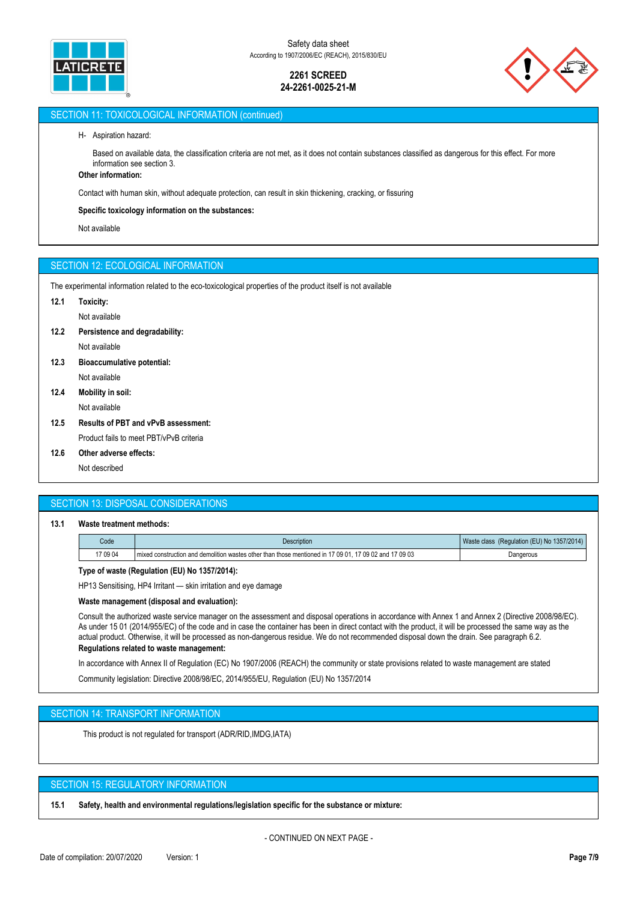



## SECTION 11: TOXICOLOGICAL INFORMATION (continued)

### H- Aspiration hazard:

Based on available data, the classification criteria are not met, as it does not contain substances classified as dangerous for this effect. For more information see section 3.

# **Other information:**

Contact with human skin, without adequate protection, can result in skin thickening, cracking, or fissuring

### **Specific toxicology information on the substances:**

Not available

## SECTION 12: ECOLOGICAL INFORMATION

The experimental information related to the eco-toxicological properties of the product itself is not available

- **12.1 Toxicity:**
	- Not available
- **12.2 Persistence and degradability:**

Not available

- **12.3 Bioaccumulative potential:** Not available
- **12.4 Mobility in soil:** Not available
- **12.5 Results of PBT and vPvB assessment:**

Product fails to meet PBT/vPvB criteria

**12.6 Other adverse effects:**

Not described

## SECTION 13: DISPOSAL CONSIDERATIONS

### **13.1 Waste treatment methods:**

| Code     | Description                                                                                                 | * (Regulation (EU) No 1357/2014)<br>Waste class |
|----------|-------------------------------------------------------------------------------------------------------------|-------------------------------------------------|
| 17 09 04 | 17 09 02 and 17 09 03<br>I mixed construction and demolition wastes other than those mentioned in 17 09 01. | Dangerous                                       |

## **Type of waste (Regulation (EU) No 1357/2014):**

HP13 Sensitising, HP4 Irritant — skin irritation and eye damage

## **Waste management (disposal and evaluation):**

Consult the authorized waste service manager on the assessment and disposal operations in accordance with Annex 1 and Annex 2 (Directive 2008/98/EC). As under 15 01 (2014/955/EC) of the code and in case the container has been in direct contact with the product, it will be processed the same way as the actual product. Otherwise, it will be processed as non-dangerous residue. We do not recommended disposal down the drain. See paragraph 6.2.

## **Regulations related to waste management:**

In accordance with Annex II of Regulation (EC) No 1907/2006 (REACH) the community or state provisions related to waste management are stated

Community legislation: Directive 2008/98/EC, 2014/955/EU, Regulation (EU) No 1357/2014

## SECTION 14: TRANSPORT INFORMATION

This product is not regulated for transport (ADR/RID,IMDG,IATA)

## SECTION 15: REGULATORY INFORMATION

**15.1 Safety, health and environmental regulations/legislation specific for the substance or mixture:**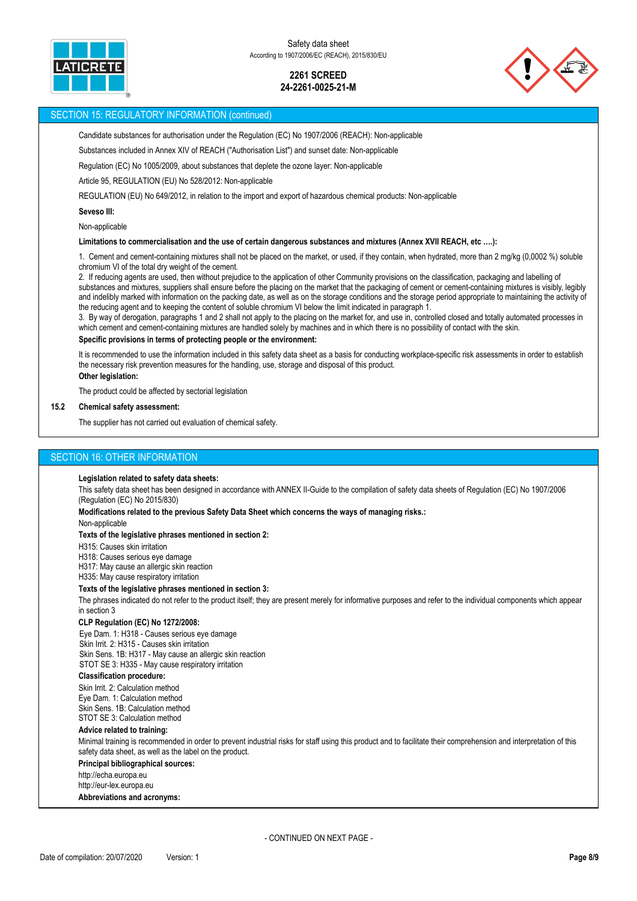



## SECTION 15: REGULATORY INFORMATION (continued)

Candidate substances for authorisation under the Regulation (EC) No 1907/2006 (REACH): Non-applicable

Substances included in Annex XIV of REACH ("Authorisation List") and sunset date: Non-applicable

Regulation (EC) No 1005/2009, about substances that deplete the ozone layer: Non-applicable

Article 95, REGULATION (EU) No 528/2012: Non-applicable

REGULATION (EU) No 649/2012, in relation to the import and export of hazardous chemical products: Non-applicable

#### **Seveso III:**

Non-applicable

#### **Limitations to commercialisation and the use of certain dangerous substances and mixtures (Annex XVII REACH, etc ….):**

1. Cement and cement-containing mixtures shall not be placed on the market, or used, if they contain, when hydrated, more than 2 mg/kg (0,0002 %) soluble chromium VI of the total dry weight of the cement.

2. If reducing agents are used, then without prejudice to the application of other Community provisions on the classification, packaging and labelling of substances and mixtures, suppliers shall ensure before the placing on the market that the packaging of cement or cement-containing mixtures is visibly, legibly and indelibly marked with information on the packing date, as well as on the storage conditions and the storage period appropriate to maintaining the activity of the reducing agent and to keeping the content of soluble chromium VI below the limit indicated in paragraph 1.

3. By way of derogation, paragraphs 1 and 2 shall not apply to the placing on the market for, and use in, controlled closed and totally automated processes in which cement and cement-containing mixtures are handled solely by machines and in which there is no possibility of contact with the skin.

#### **Specific provisions in terms of protecting people or the environment:**

It is recommended to use the information included in this safety data sheet as a basis for conducting workplace-specific risk assessments in order to establish the necessary risk prevention measures for the handling, use, storage and disposal of this product.

## **Other legislation:**

The product could be affected by sectorial legislation

### **15.2 Chemical safety assessment:**

The supplier has not carried out evaluation of chemical safety.

## SECTION 16: OTHER INFORMATION

### **Legislation related to safety data sheets:**

This safety data sheet has been designed in accordance with ANNEX II-Guide to the compilation of safety data sheets of Regulation (EC) No 1907/2006 (Regulation (EC) No 2015/830)

**Modifications related to the previous Safety Data Sheet which concerns the ways of managing risks.:**

Non-applicable

### **Texts of the legislative phrases mentioned in section 2:**

H315: Causes skin irritation

H318: Causes serious eye damage

H317: May cause an allergic skin reaction

H335: May cause respiratory irritation

## **Texts of the legislative phrases mentioned in section 3:**

The phrases indicated do not refer to the product itself; they are present merely for informative purposes and refer to the individual components which appear in section 3

### **CLP Regulation (EC) No 1272/2008:**

Eye Dam. 1: H318 - Causes serious eye damage Skin Irrit. 2: H315 - Causes skin irritation Skin Sens. 1B: H317 - May cause an allergic skin reaction STOT SE 3: H335 - May cause respiratory irritation

## **Classification procedure:**

Skin Irrit. 2: Calculation method Eye Dam. 1: Calculation method Skin Sens. 1B: Calculation method STOT SE 3: Calculation method

## **Advice related to training:**

Minimal training is recommended in order to prevent industrial risks for staff using this product and to facilitate their comprehension and interpretation of this safety data sheet, as well as the label on the product.

### **Principal bibliographical sources:**

http://echa.europa.eu http://eur-lex.europa.eu **Abbreviations and acronyms:**